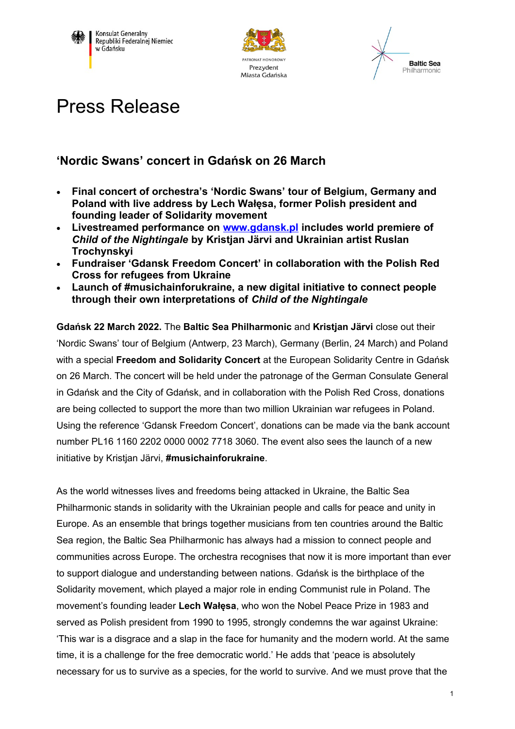





## Press Release

## **'Nordic Swans' concert in Gdańsk on 26 March**

- **Final concert of orchestra's 'Nordic Swans' tour of Belgium, Germany and Poland with live address by Lech Wałęsa, former Polish president and founding leader of Solidarity movement**
- **Livestreamed performance on [www.gdansk.pl](http://www.gdansk.pl/) includes world premiere of**  *Child of the Nightingale* **by Kristjan Järvi and Ukrainian artist Ruslan Trochynskyi**
- **Fundraiser 'Gdansk Freedom Concert' in collaboration with the Polish Red Cross for refugees from Ukraine**
- **Launch of #musichainforukraine, a new digital initiative to connect people through their own interpretations of** *Child of the Nightingale*

**Gdańsk 22 March 2022.** The **Baltic Sea Philharmonic** and **Kristjan Järvi** close out their 'Nordic Swans' tour of Belgium (Antwerp, 23 March), Germany (Berlin, 24 March) and Poland with a special **Freedom and Solidarity Concert** at the European Solidarity Centre in Gdańsk on 26 March. The concert will be held under the patronage of the German Consulate General in Gdańsk and the City of Gdańsk, and in collaboration with the Polish Red Cross, donations are being collected to support the more than two million Ukrainian war refugees in Poland. Using the reference 'Gdansk Freedom Concert', donations can be made via the bank account number PL16 1160 2202 0000 0002 7718 3060. The event also sees the launch of a new initiative by Kristjan Järvi, **#musichainforukraine**.

As the world witnesses lives and freedoms being attacked in Ukraine, the Baltic Sea Philharmonic stands in solidarity with the Ukrainian people and calls for peace and unity in Europe. As an ensemble that brings together musicians from ten countries around the Baltic Sea region, the Baltic Sea Philharmonic has always had a mission to connect people and communities across Europe. The orchestra recognises that now it is more important than ever to support dialogue and understanding between nations. Gdańsk is the birthplace of the Solidarity movement, which played a major role in ending Communist rule in Poland. The movement's founding leader **Lech Wałęsa**, who won the Nobel Peace Prize in 1983 and served as Polish president from 1990 to 1995, strongly condemns the war against Ukraine: 'This war is a disgrace and a slap in the face for humanity and the modern world. At the same time, it is a challenge for the free democratic world.' He adds that 'peace is absolutely necessary for us to survive as a species, for the world to survive. And we must prove that the